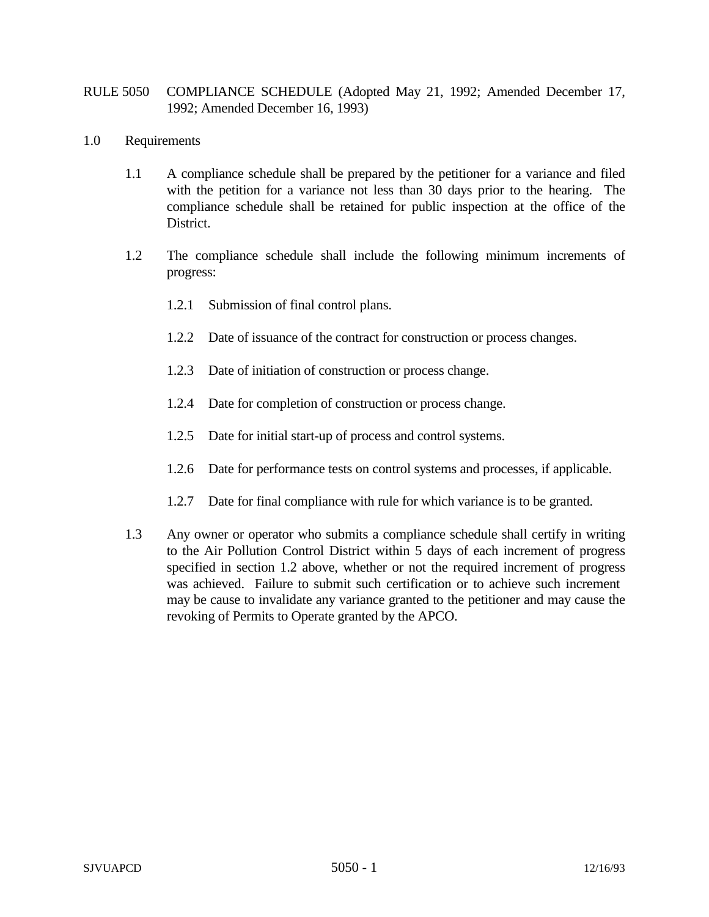## RULE 5050 COMPLIANCE SCHEDULE (Adopted May 21, 1992; Amended December 17, 1992; Amended December 16, 1993)

- 1.0 Requirements
	- 1.1 A compliance schedule shall be prepared by the petitioner for a variance and filed with the petition for a variance not less than 30 days prior to the hearing. The compliance schedule shall be retained for public inspection at the office of the District.
	- 1.2 The compliance schedule shall include the following minimum increments of progress:
		- 1.2.1 Submission of final control plans.
		- 1.2.2 Date of issuance of the contract for construction or process changes.
		- 1.2.3 Date of initiation of construction or process change.
		- 1.2.4 Date for completion of construction or process change.
		- 1.2.5 Date for initial start-up of process and control systems.
		- 1.2.6 Date for performance tests on control systems and processes, if applicable.
		- 1.2.7 Date for final compliance with rule for which variance is to be granted.
	- 1.3 Any owner or operator who submits a compliance schedule shall certify in writing to the Air Pollution Control District within 5 days of each increment of progress specified in section 1.2 above, whether or not the required increment of progress was achieved. Failure to submit such certification or to achieve such increment may be cause to invalidate any variance granted to the petitioner and may cause the revoking of Permits to Operate granted by the APCO.